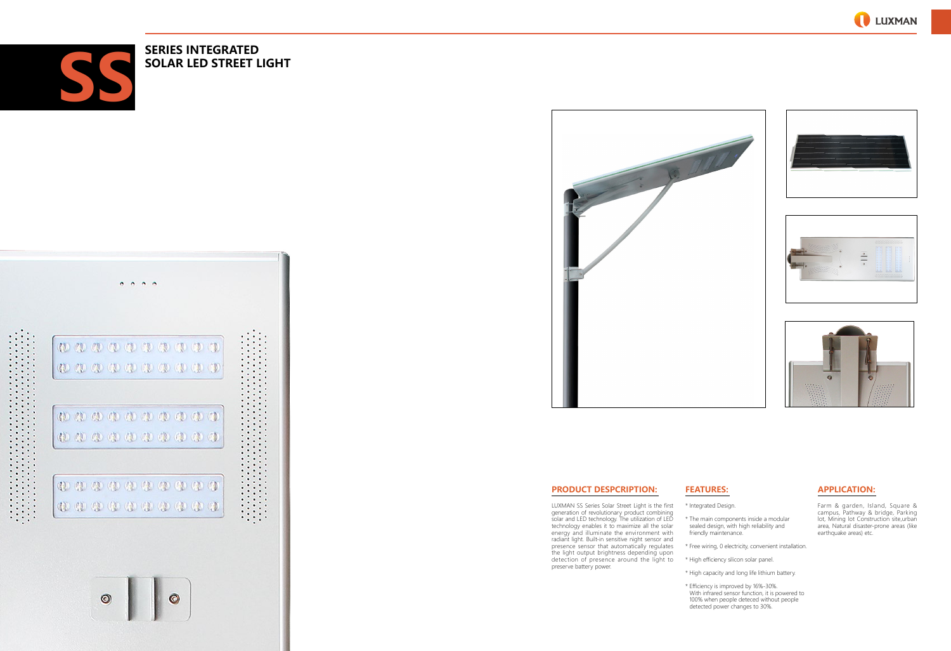## **APPLICATION:**

Farm & garden, Island, Square & campus, Pathway & bridge, Parking lot, Mining lot Construction site,urban area, Natural disaster-prone areas (like earthquake areas) etc.

\* The main components inside a modular sealed design, with high reliability and friendly maintenance.



\* Integrated Design.

\* Efficiency is improved by 16%-30%. With infrared sensor function, it is powered to 100% when people deteced without people detected power changes to 30%.

- LUXMAN SS Series Solar Street Light is the first generation of revolutionary product combining solar and LED technology. The utilization of LED technology enables it to maximize all the solar energy and illuminate the environment with radiant light. Built-in sensitive night sensor and presence sensor that automatically regulates the light output brightness depending upon detection of presence around the light to preserve battery power.
- 
- 



\* Free wiring, 0 electricity, convenient installation.

\* High efficiency silicon solar panel.

\* High capacity and long life lithium battery.

# **PRODUCT DESPCRIPTION:**



# **SOLAR LED STREET LIGHT**